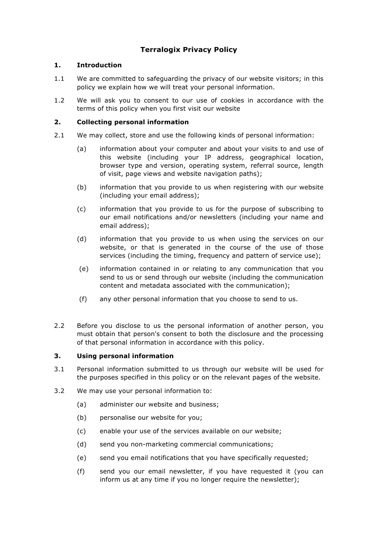# **Terralogix Privacy Policy**

# **1. Introduction**

- 1.1 We are committed to safeguarding the privacy of our website visitors; in this policy we explain how we will treat your personal information.
- 1.2 We will ask you to consent to our use of cookies in accordance with the terms of this policy when you first visit our website

## **2. Collecting personal information**

- 2.1 We may collect, store and use the following kinds of personal information:
	- (a) information about your computer and about your visits to and use of this website (including your IP address, geographical location, browser type and version, operating system, referral source, length of visit, page views and website navigation paths);
	- (b) information that you provide to us when registering with our website (including your email address);
	- (c) information that you provide to us for the purpose of subscribing to our email notifications and/or newsletters (including your name and email address);
	- (d) information that you provide to us when using the services on our website, or that is generated in the course of the use of those services (including the timing, frequency and pattern of service use);
	- (e) information contained in or relating to any communication that you send to us or send through our website (including the communication content and metadata associated with the communication);
	- (f) any other personal information that you choose to send to us.
- 2.2 Before you disclose to us the personal information of another person, you must obtain that person's consent to both the disclosure and the processing of that personal information in accordance with this policy.

## **3. Using personal information**

- 3.1 Personal information submitted to us through our website will be used for the purposes specified in this policy or on the relevant pages of the website.
- 3.2 We may use your personal information to:
	- (a) administer our website and business;
	- (b) personalise our website for you;
	- (c) enable your use of the services available on our website;
	- (d) send you non-marketing commercial communications;
	- (e) send you email notifications that you have specifically requested;
	- (f) send you our email newsletter, if you have requested it (you can inform us at any time if you no longer require the newsletter);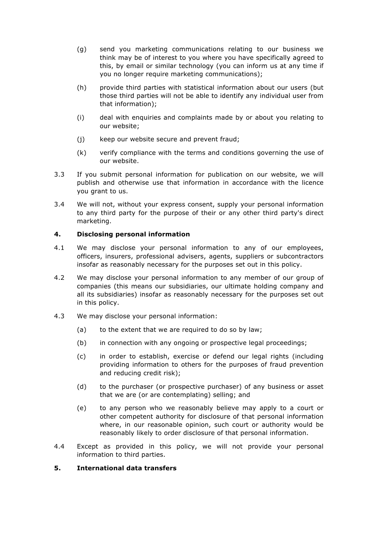- (g) send you marketing communications relating to our business we think may be of interest to you where you have specifically agreed to this, by email or similar technology (you can inform us at any time if you no longer require marketing communications);
- (h) provide third parties with statistical information about our users (but those third parties will not be able to identify any individual user from that information);
- (i) deal with enquiries and complaints made by or about you relating to our website;
- (j) keep our website secure and prevent fraud;
- (k) verify compliance with the terms and conditions governing the use of our website.
- 3.3 If you submit personal information for publication on our website, we will publish and otherwise use that information in accordance with the licence you grant to us.
- 3.4 We will not, without your express consent, supply your personal information to any third party for the purpose of their or any other third party's direct marketing.

### **4. Disclosing personal information**

- 4.1 We may disclose your personal information to any of our employees, officers, insurers, professional advisers, agents, suppliers or subcontractors insofar as reasonably necessary for the purposes set out in this policy.
- 4.2 We may disclose your personal information to any member of our group of companies (this means our subsidiaries, our ultimate holding company and all its subsidiaries) insofar as reasonably necessary for the purposes set out in this policy.
- 4.3 We may disclose your personal information:
	- (a) to the extent that we are required to do so by law;
	- (b) in connection with any ongoing or prospective legal proceedings;
	- (c) in order to establish, exercise or defend our legal rights (including providing information to others for the purposes of fraud prevention and reducing credit risk);
	- (d) to the purchaser (or prospective purchaser) of any business or asset that we are (or are contemplating) selling; and
	- (e) to any person who we reasonably believe may apply to a court or other competent authority for disclosure of that personal information where, in our reasonable opinion, such court or authority would be reasonably likely to order disclosure of that personal information.
- 4.4 Except as provided in this policy, we will not provide your personal information to third parties.

#### **5. International data transfers**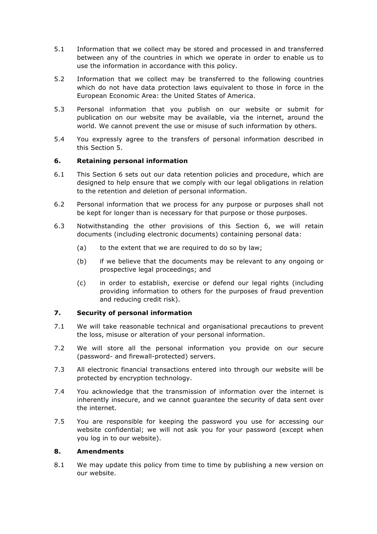- 5.1 Information that we collect may be stored and processed in and transferred between any of the countries in which we operate in order to enable us to use the information in accordance with this policy.
- 5.2 Information that we collect may be transferred to the following countries which do not have data protection laws equivalent to those in force in the European Economic Area: the United States of America.
- 5.3 Personal information that you publish on our website or submit for publication on our website may be available, via the internet, around the world. We cannot prevent the use or misuse of such information by others.
- 5.4 You expressly agree to the transfers of personal information described in this Section 5.

### **6. Retaining personal information**

- 6.1 This Section 6 sets out our data retention policies and procedure, which are designed to help ensure that we comply with our legal obligations in relation to the retention and deletion of personal information.
- 6.2 Personal information that we process for any purpose or purposes shall not be kept for longer than is necessary for that purpose or those purposes.
- 6.3 Notwithstanding the other provisions of this Section 6, we will retain documents (including electronic documents) containing personal data:
	- (a) to the extent that we are required to do so by law;
	- (b) if we believe that the documents may be relevant to any ongoing or prospective legal proceedings; and
	- (c) in order to establish, exercise or defend our legal rights (including providing information to others for the purposes of fraud prevention and reducing credit risk).

#### **7. Security of personal information**

- 7.1 We will take reasonable technical and organisational precautions to prevent the loss, misuse or alteration of your personal information.
- 7.2 We will store all the personal information you provide on our secure (password- and firewall-protected) servers.
- 7.3 All electronic financial transactions entered into through our website will be protected by encryption technology.
- 7.4 You acknowledge that the transmission of information over the internet is inherently insecure, and we cannot guarantee the security of data sent over the internet.
- 7.5 You are responsible for keeping the password you use for accessing our website confidential; we will not ask you for your password (except when you log in to our website).

#### **8. Amendments**

8.1 We may update this policy from time to time by publishing a new version on our website.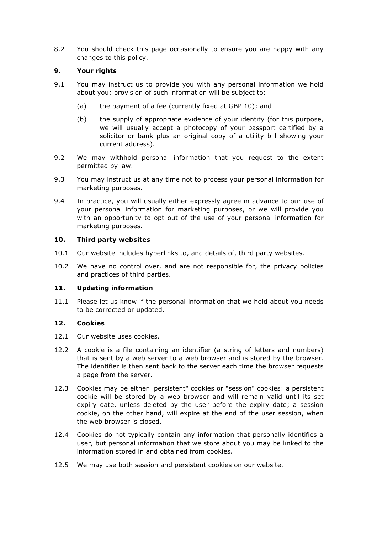8.2 You should check this page occasionally to ensure you are happy with any changes to this policy.

# **9. Your rights**

- 9.1 You may instruct us to provide you with any personal information we hold about you; provision of such information will be subject to:
	- (a) the payment of a fee (currently fixed at GBP 10); and
	- (b) the supply of appropriate evidence of your identity (for this purpose, we will usually accept a photocopy of your passport certified by a solicitor or bank plus an original copy of a utility bill showing your current address).
- 9.2 We may withhold personal information that you request to the extent permitted by law.
- 9.3 You may instruct us at any time not to process your personal information for marketing purposes.
- 9.4 In practice, you will usually either expressly agree in advance to our use of your personal information for marketing purposes, or we will provide you with an opportunity to opt out of the use of your personal information for marketing purposes.

## **10. Third party websites**

- 10.1 Our website includes hyperlinks to, and details of, third party websites.
- 10.2 We have no control over, and are not responsible for, the privacy policies and practices of third parties.

# **11. Updating information**

11.1 Please let us know if the personal information that we hold about you needs to be corrected or updated.

## **12. Cookies**

- 12.1 Our website uses cookies.
- 12.2 A cookie is a file containing an identifier (a string of letters and numbers) that is sent by a web server to a web browser and is stored by the browser. The identifier is then sent back to the server each time the browser requests a page from the server.
- 12.3 Cookies may be either "persistent" cookies or "session" cookies: a persistent cookie will be stored by a web browser and will remain valid until its set expiry date, unless deleted by the user before the expiry date; a session cookie, on the other hand, will expire at the end of the user session, when the web browser is closed.
- 12.4 Cookies do not typically contain any information that personally identifies a user, but personal information that we store about you may be linked to the information stored in and obtained from cookies.
- 12.5 We may use both session and persistent cookies on our website.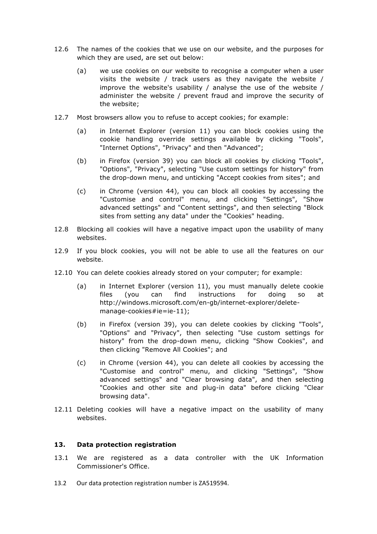- 12.6 The names of the cookies that we use on our website, and the purposes for which they are used, are set out below:
	- (a) we use cookies on our website to recognise a computer when a user visits the website / track users as they navigate the website / improve the website's usability / analyse the use of the website / administer the website / prevent fraud and improve the security of the website;
- 12.7 Most browsers allow you to refuse to accept cookies; for example:
	- (a) in Internet Explorer (version 11) you can block cookies using the cookie handling override settings available by clicking "Tools", "Internet Options", "Privacy" and then "Advanced";
	- (b) in Firefox (version 39) you can block all cookies by clicking "Tools", "Options", "Privacy", selecting "Use custom settings for history" from the drop-down menu, and unticking "Accept cookies from sites"; and
	- (c) in Chrome (version 44), you can block all cookies by accessing the "Customise and control" menu, and clicking "Settings", "Show advanced settings" and "Content settings", and then selecting "Block sites from setting any data" under the "Cookies" heading.
- 12.8 Blocking all cookies will have a negative impact upon the usability of many websites.
- 12.9 If you block cookies, you will not be able to use all the features on our website.
- 12.10 You can delete cookies already stored on your computer; for example:
	- (a) in Internet Explorer (version 11), you must manually delete cookie files (you can find instructions for doing so at http://windows.microsoft.com/en-gb/internet-explorer/deletemanage-cookies#ie=ie-11);
	- (b) in Firefox (version 39), you can delete cookies by clicking "Tools", "Options" and "Privacy", then selecting "Use custom settings for history" from the drop-down menu, clicking "Show Cookies", and then clicking "Remove All Cookies"; and
	- (c) in Chrome (version 44), you can delete all cookies by accessing the "Customise and control" menu, and clicking "Settings", "Show advanced settings" and "Clear browsing data", and then selecting "Cookies and other site and plug-in data" before clicking "Clear browsing data".
- 12.11 Deleting cookies will have a negative impact on the usability of many websites.

#### **13. Data protection registration**

- 13.1 We are registered as a data controller with the UK Information Commissioner's Office.
- 13.2 Our data protection registration number is ZA519594.